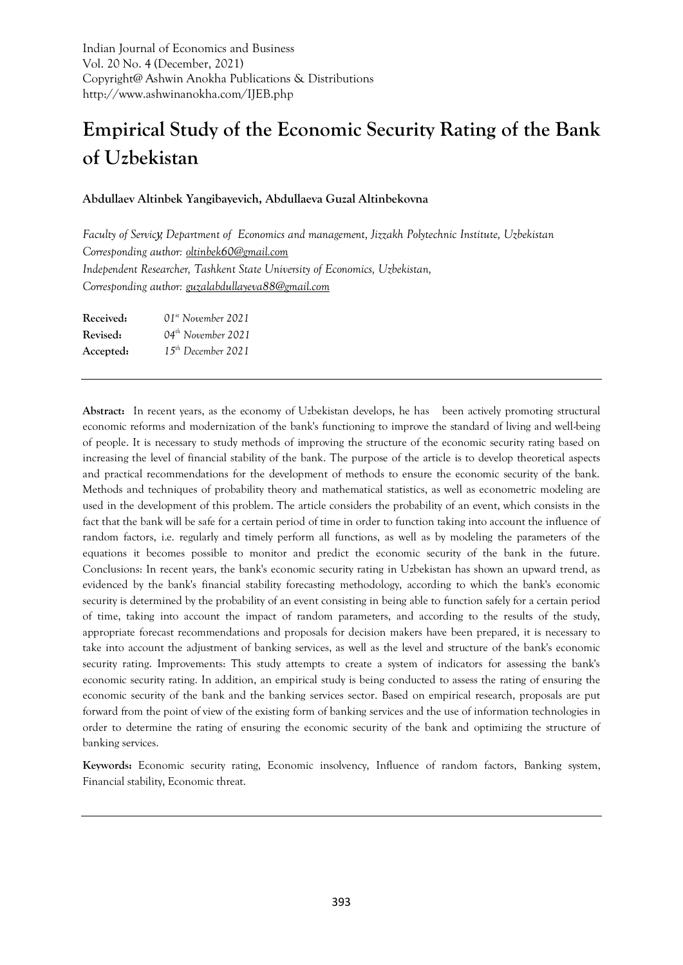Indian Journal of Economics and Business Vol. 20 No. 4 (December, 2021) Copyright@ Ashwin Anokha Publications & Distributions http://www.ashwinanokha.com/IJEB.php

# **Empirical Study of the Economic Security Rating of the Bank of Uzbekistan**

### **Abdullaev Altinbek Yangibayevich, Abdullaeva Guzal Altinbekovna**

*Faculty of Servicу, Department of Economics and management, Jizzakh Polytechnic Institute, Uzbekistan Corresponding author: [oltinbek60@gmail.com](mailto:oltinbek60@gmail.com) Independent Researcher, Tashkent State University of Economics, Uzbekistan, Corresponding author: [guzalabdullayeva88@gmail.com](mailto:guzalabdullayeva88@gmail.com)*

| Received: | 01 <sup>st</sup> November 2021 |
|-----------|--------------------------------|
| Revised:  | 04 <sup>th</sup> November 2021 |
| Accepted: | $15th$ December 2021           |

**Abstract:** In recent years, as the economy of Uzbekistan develops, he has been actively promoting structural economic reforms and modernization of the bank's functioning to improve the standard of living and well-being of people. It is necessary to study methods of improving the structure of the economic security rating based on increasing the level of financial stability of the bank. The purpose of the article is to develop theoretical aspects and practical recommendations for the development of methods to ensure the economic security of the bank. Methods and techniques of probability theory and mathematical statistics, as well as econometric modeling are used in the development of this problem. The article considers the probability of an event, which consists in the fact that the bank will be safe for a certain period of time in order to function taking into account the influence of random factors, i.e. regularly and timely perform all functions, as well as by modeling the parameters of the equations it becomes possible to monitor and predict the economic security of the bank in the future. Conclusions: In recent years, the bank's economic security rating in Uzbekistan has shown an upward trend, as evidenced by the bank's financial stability forecasting methodology, according to which the bank's economic security is determined by the probability of an event consisting in being able to function safely for a certain period of time, taking into account the impact of random parameters, and according to the results of the study, appropriate forecast recommendations and proposals for decision makers have been prepared, it is necessary to take into account the adjustment of banking services, as well as the level and structure of the bank's economic security rating. Improvements: This study attempts to create a system of indicators for assessing the bank's economic security rating. In addition, an empirical study is being conducted to assess the rating of ensuring the economic security of the bank and the banking services sector. Based on empirical research, proposals are put forward from the point of view of the existing form of banking services and the use of information technologies in order to determine the rating of ensuring the economic security of the bank and optimizing the structure of banking services.

**Keywords:** Economic security rating, Economic insolvency, Influence of random factors, Banking system, Financial stability, Economic threat.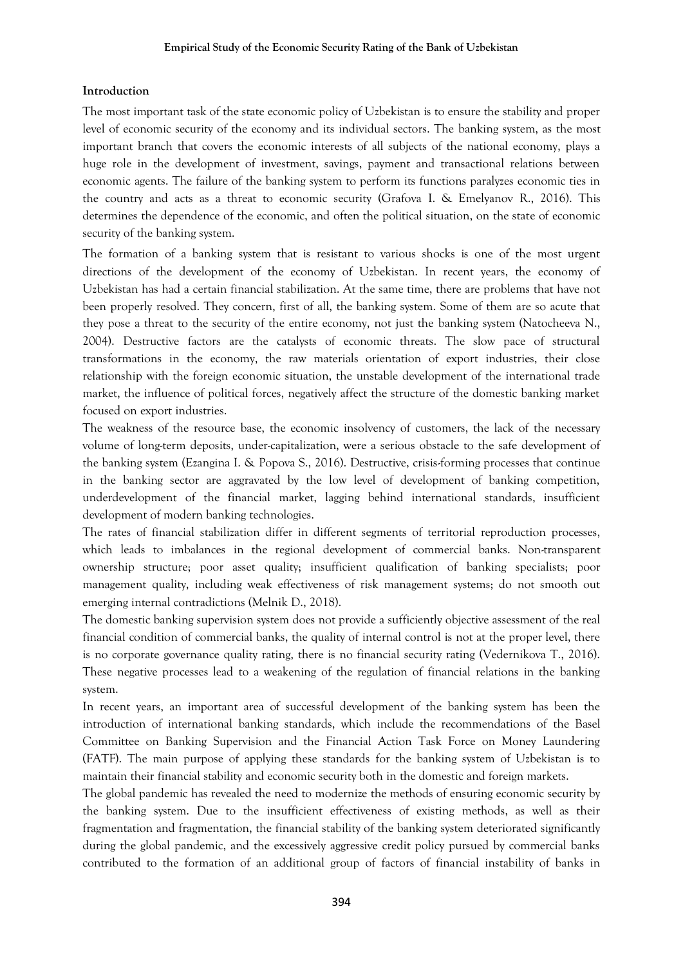#### **Introduction**

The most important task of the state economic policy of Uzbekistan is to ensure the stability and proper level of economic security of the economy and its individual sectors. The banking system, as the most important branch that covers the economic interests of all subjects of the national economy, plays a huge role in the development of investment, savings, payment and transactional relations between economic agents. The failure of the banking system to perform its functions paralyzes economic ties in the country and acts as a threat to economic security (Grafova I. & Emelyanov R., 2016). This determines the dependence of the economic, and often the political situation, on the state of economic security of the banking system.

The formation of a banking system that is resistant to various shocks is one of the most urgent directions of the development of the economy of Uzbekistan. In recent years, the economy of Uzbekistan has had a certain financial stabilization. At the same time, there are problems that have not been properly resolved. They concern, first of all, the banking system. Some of them are so acute that they pose a threat to the security of the entire economy, not just the banking system (Natocheeva N., 2004). Destructive factors are the catalysts of economic threats. The slow pace of structural transformations in the economy, the raw materials orientation of export industries, their close relationship with the foreign economic situation, the unstable development of the international trade market, the influence of political forces, negatively affect the structure of the domestic banking market focused on export industries.

The weakness of the resource base, the economic insolvency of customers, the lack of the necessary volume of long-term deposits, under-capitalization, were a serious obstacle to the safe development of the banking system (Ezangina I. & Popova S., 2016). Destructive, crisis-forming processes that continue in the banking sector are aggravated by the low level of development of banking competition, underdevelopment of the financial market, lagging behind international standards, insufficient development of modern banking technologies.

The rates of financial stabilization differ in different segments of territorial reproduction processes, which leads to imbalances in the regional development of commercial banks. Non-transparent ownership structure; poor asset quality; insufficient qualification of banking specialists; poor management quality, including weak effectiveness of risk management systems; do not smooth out emerging internal contradictions (Melnik D., 2018).

The domestic banking supervision system does not provide a sufficiently objective assessment of the real financial condition of commercial banks, the quality of internal control is not at the proper level, there is no corporate governance quality rating, there is no financial security rating (Vedernikova T., 2016). These negative processes lead to a weakening of the regulation of financial relations in the banking system.

In recent years, an important area of successful development of the banking system has been the introduction of international banking standards, which include the recommendations of the Basel Committee on Banking Supervision and the Financial Action Task Force on Money Laundering (FATF). The main purpose of applying these standards for the banking system of Uzbekistan is to maintain their financial stability and economic security both in the domestic and foreign markets.

The global pandemic has revealed the need to modernize the methods of ensuring economic security by the banking system. Due to the insufficient effectiveness of existing methods, as well as their fragmentation and fragmentation, the financial stability of the banking system deteriorated significantly during the global pandemic, and the excessively aggressive credit policy pursued by commercial banks contributed to the formation of an additional group of factors of financial instability of banks in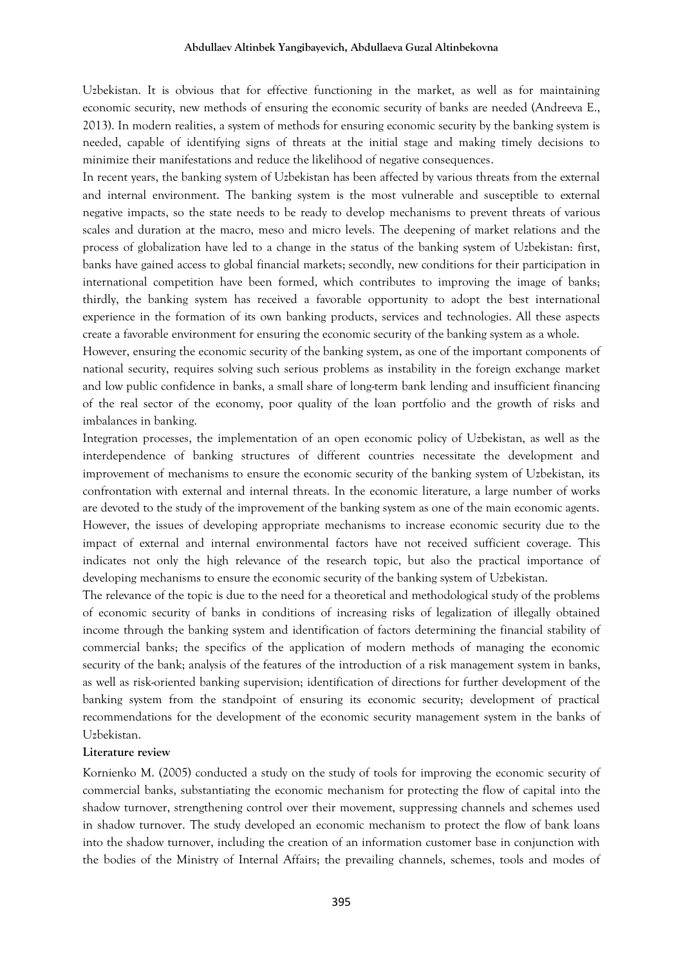Uzbekistan. It is obvious that for effective functioning in the market, as well as for maintaining economic security, new methods of ensuring the economic security of banks are needed (Andreeva E., 2013). In modern realities, a system of methods for ensuring economic security by the banking system is needed, capable of identifying signs of threats at the initial stage and making timely decisions to minimize their manifestations and reduce the likelihood of negative consequences.

In recent years, the banking system of Uzbekistan has been affected by various threats from the external and internal environment. The banking system is the most vulnerable and susceptible to external negative impacts, so the state needs to be ready to develop mechanisms to prevent threats of various scales and duration at the macro, meso and micro levels. The deepening of market relations and the process of globalization have led to a change in the status of the banking system of Uzbekistan: first, banks have gained access to global financial markets; secondly, new conditions for their participation in international competition have been formed, which contributes to improving the image of banks; thirdly, the banking system has received a favorable opportunity to adopt the best international experience in the formation of its own banking products, services and technologies. All these aspects create a favorable environment for ensuring the economic security of the banking system as a whole.

However, ensuring the economic security of the banking system, as one of the important components of national security, requires solving such serious problems as instability in the foreign exchange market and low public confidence in banks, a small share of long-term bank lending and insufficient financing of the real sector of the economy, poor quality of the loan portfolio and the growth of risks and imbalances in banking.

Integration processes, the implementation of an open economic policy of Uzbekistan, as well as the interdependence of banking structures of different countries necessitate the development and improvement of mechanisms to ensure the economic security of the banking system of Uzbekistan, its confrontation with external and internal threats. In the economic literature, a large number of works are devoted to the study of the improvement of the banking system as one of the main economic agents. However, the issues of developing appropriate mechanisms to increase economic security due to the impact of external and internal environmental factors have not received sufficient coverage. This indicates not only the high relevance of the research topic, but also the practical importance of developing mechanisms to ensure the economic security of the banking system of Uzbekistan.

The relevance of the topic is due to the need for a theoretical and methodological study of the problems of economic security of banks in conditions of increasing risks of legalization of illegally obtained income through the banking system and identification of factors determining the financial stability of commercial banks; the specifics of the application of modern methods of managing the economic security of the bank; analysis of the features of the introduction of a risk management system in banks, as well as risk-oriented banking supervision; identification of directions for further development of the banking system from the standpoint of ensuring its economic security; development of practical recommendations for the development of the economic security management system in the banks of Uzbekistan.

#### **Literature review**

Kornienko M. (2005) conducted a study on the study of tools for improving the economic security of commercial banks, substantiating the economic mechanism for protecting the flow of capital into the shadow turnover, strengthening control over their movement, suppressing channels and schemes used in shadow turnover. The study developed an economic mechanism to protect the flow of bank loans into the shadow turnover, including the creation of an information customer base in conjunction with the bodies of the Ministry of Internal Affairs; the prevailing channels, schemes, tools and modes of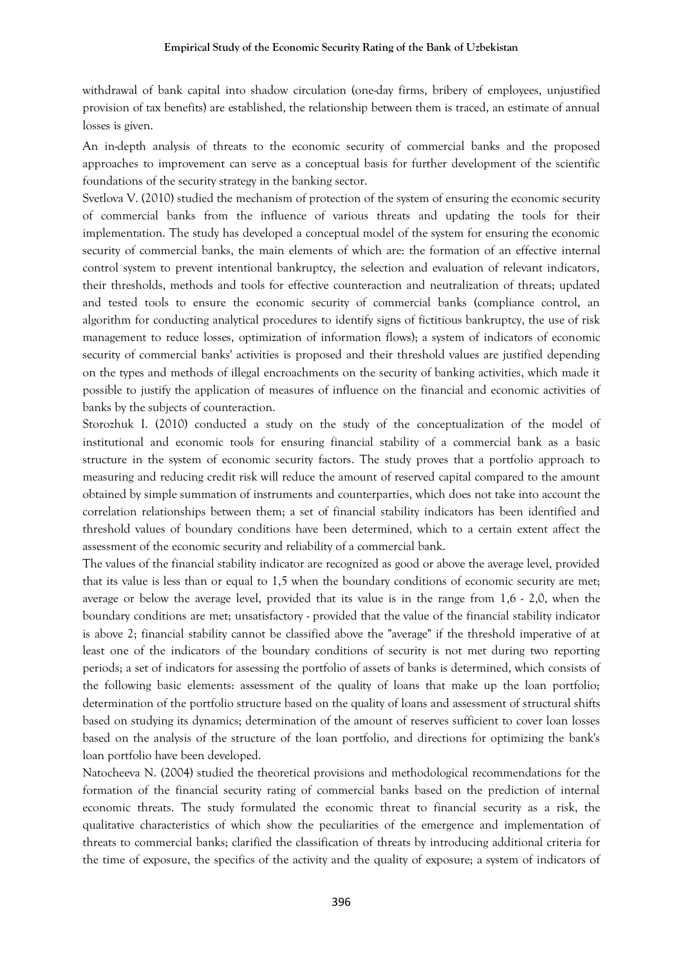withdrawal of bank capital into shadow circulation (one-day firms, bribery of employees, unjustified provision of tax benefits) are established, the relationship between them is traced, an estimate of annual losses is given.

An in-depth analysis of threats to the economic security of commercial banks and the proposed approaches to improvement can serve as a conceptual basis for further development of the scientific foundations of the security strategy in the banking sector.

Svetlova V. (2010) studied the mechanism of protection of the system of ensuring the economic security of commercial banks from the influence of various threats and updating the tools for their implementation. The study has developed a conceptual model of the system for ensuring the economic security of commercial banks, the main elements of which are: the formation of an effective internal control system to prevent intentional bankruptcy, the selection and evaluation of relevant indicators, their thresholds, methods and tools for effective counteraction and neutralization of threats; updated and tested tools to ensure the economic security of commercial banks (compliance control, an algorithm for conducting analytical procedures to identify signs of fictitious bankruptcy, the use of risk management to reduce losses, optimization of information flows); a system of indicators of economic security of commercial banks' activities is proposed and their threshold values are justified depending on the types and methods of illegal encroachments on the security of banking activities, which made it possible to justify the application of measures of influence on the financial and economic activities of banks by the subjects of counteraction.

Storozhuk I. (2010) conducted a study on the study of the conceptualization of the model of institutional and economic tools for ensuring financial stability of a commercial bank as a basic structure in the system of economic security factors. The study proves that a portfolio approach to measuring and reducing credit risk will reduce the amount of reserved capital compared to the amount obtained by simple summation of instruments and counterparties, which does not take into account the correlation relationships between them; a set of financial stability indicators has been identified and threshold values of boundary conditions have been determined, which to a certain extent affect the assessment of the economic security and reliability of a commercial bank.

The values of the financial stability indicator are recognized as good or above the average level, provided that its value is less than or equal to 1,5 when the boundary conditions of economic security are met; average or below the average level, provided that its value is in the range from 1,6 - 2,0, when the boundary conditions are met; unsatisfactory - provided that the value of the financial stability indicator is above 2; financial stability cannot be classified above the "average" if the threshold imperative of at least one of the indicators of the boundary conditions of security is not met during two reporting periods; a set of indicators for assessing the portfolio of assets of banks is determined, which consists of the following basic elements: assessment of the quality of loans that make up the loan portfolio; determination of the portfolio structure based on the quality of loans and assessment of structural shifts based on studying its dynamics; determination of the amount of reserves sufficient to cover loan losses based on the analysis of the structure of the loan portfolio, and directions for optimizing the bank's loan portfolio have been developed.

Natocheeva N. (2004) studied the theoretical provisions and methodological recommendations for the formation of the financial security rating of commercial banks based on the prediction of internal economic threats. The study formulated the economic threat to financial security as a risk, the qualitative characteristics of which show the peculiarities of the emergence and implementation of threats to commercial banks; clarified the classification of threats by introducing additional criteria for the time of exposure, the specifics of the activity and the quality of exposure; a system of indicators of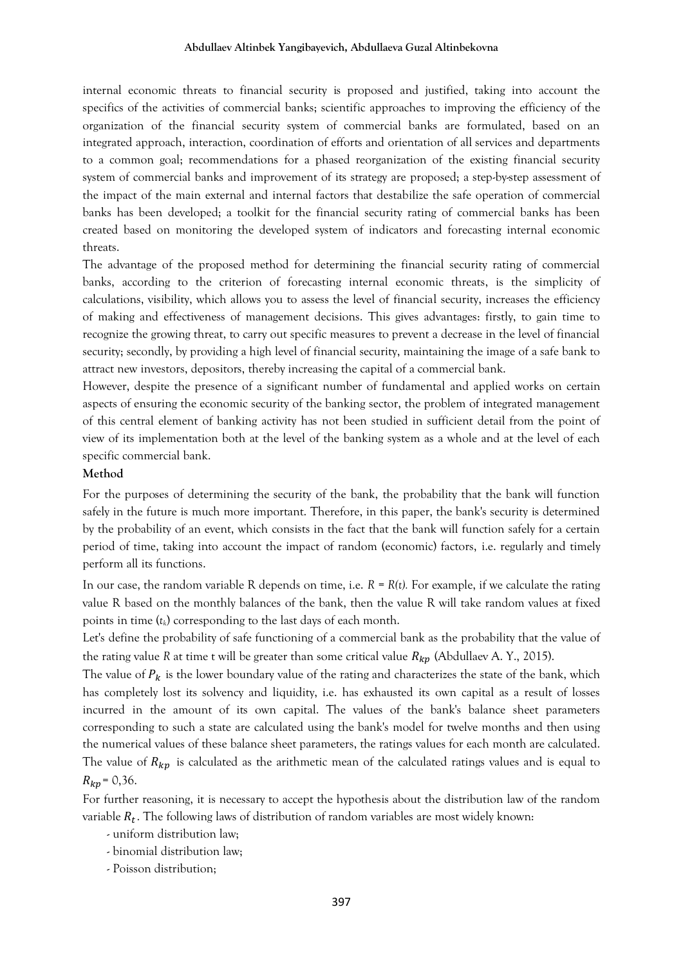internal economic threats to financial security is proposed and justified, taking into account the specifics of the activities of commercial banks; scientific approaches to improving the efficiency of the organization of the financial security system of commercial banks are formulated, based on an integrated approach, interaction, coordination of efforts and orientation of all services and departments to a common goal; recommendations for a phased reorganization of the existing financial security system of commercial banks and improvement of its strategy are proposed; a step-by-step assessment of the impact of the main external and internal factors that destabilize the safe operation of commercial banks has been developed; a toolkit for the financial security rating of commercial banks has been created based on monitoring the developed system of indicators and forecasting internal economic threats.

The advantage of the proposed method for determining the financial security rating of commercial banks, according to the criterion of forecasting internal economic threats, is the simplicity of calculations, visibility, which allows you to assess the level of financial security, increases the efficiency of making and effectiveness of management decisions. This gives advantages: firstly, to gain time to recognize the growing threat, to carry out specific measures to prevent a decrease in the level of financial security; secondly, by providing a high level of financial security, maintaining the image of a safe bank to attract new investors, depositors, thereby increasing the capital of a commercial bank.

However, despite the presence of a significant number of fundamental and applied works on certain aspects of ensuring the economic security of the banking sector, the problem of integrated management of this central element of banking activity has not been studied in sufficient detail from the point of view of its implementation both at the level of the banking system as a whole and at the level of each specific commercial bank.

#### **Method**

For the purposes of determining the security of the bank, the probability that the bank will function safely in the future is much more important. Therefore, in this paper, the bank's security is determined by the probability of an event, which consists in the fact that the bank will function safely for a certain period of time, taking into account the impact of random (economic) factors, i.e. regularly and timely perform all its functions.

In our case, the random variable R depends on time, i.e. *R = R(t).* For example, if we calculate the rating value R based on the monthly balances of the bank, then the value R will take random values at fixed points in time (*tk*) corresponding to the last days of each month.

Let's define the probability of safe functioning of a commercial bank as the probability that the value of the rating value *R* at time t will be greater than some critical value  $R_{kp}$  (Abdullaev A. Y., 2015).

The value of  $P_k$  is the lower boundary value of the rating and characterizes the state of the bank, which has completely lost its solvency and liquidity, i.e. has exhausted its own capital as a result of losses incurred in the amount of its own capital. The values of the bank's balance sheet parameters corresponding to such a state are calculated using the bank's model for twelve months and then using the numerical values of these balance sheet parameters, the ratings values for each month are calculated. The value of  $R_{kp}$  is calculated as the arithmetic mean of the calculated ratings values and is equal to  $R_{kn}$  = 0,36.

For further reasoning, it is necessary to accept the hypothesis about the distribution law of the random variable  $R_t.$  The following laws of distribution of random variables are most widely known:

- uniform distribution law;
- binomial distribution law;
- Poisson distribution;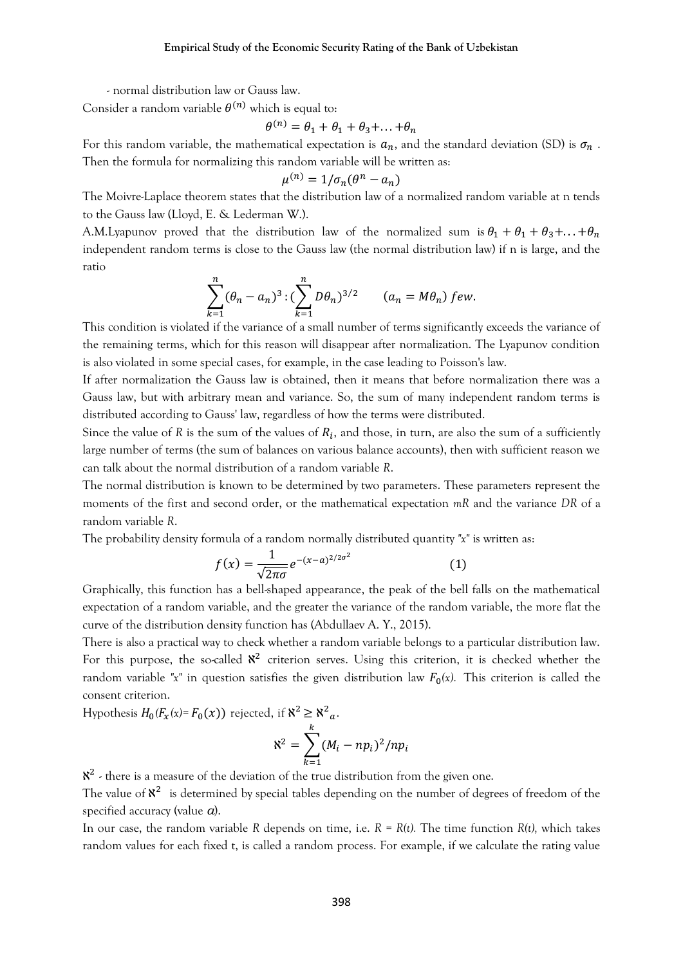- normal distribution law or Gauss law.

Consider a random variable  $\theta^{(n)}$  which is equal to:

$$
\theta^{(n)} = \theta_1 + \theta_1 + \theta_3 + \ldots + \theta_n
$$

For this random variable, the mathematical expectation is  $a_n$ , and the standard deviation (SD) is  $\sigma_n$ . Then the formula for normalizing this random variable will be written as:

$$
\mu^{(n)} = 1/\sigma_n(\theta^n - a_n)
$$

The Moivre-Laplace theorem states that the distribution law of a normalized random variable at n tends to the Gauss law (Lloyd, E. & Lederman W.).

A.M.Lyapunov proved that the distribution law of the normalized sum is  $\theta_1 + \theta_1 + \theta_3 + ... + \theta_n$ independent random terms is close to the Gauss law (the normal distribution law) if n is large, and the ratio

$$
\sum_{k=1}^n (\theta_n - a_n)^3 : (\sum_{k=1}^n D\theta_n)^{3/2} \qquad (a_n = M\theta_n) \text{ few.}
$$

This condition is violated if the variance of a small number of terms significantly exceeds the variance of the remaining terms, which for this reason will disappear after normalization. The Lyapunov condition is also violated in some special cases, for example, in the case leading to Poisson's law.

If after normalization the Gauss law is obtained, then it means that before normalization there was a Gauss law, but with arbitrary mean and variance. So, the sum of many independent random terms is distributed according to Gauss' law, regardless of how the terms were distributed.

Since the value of  $R$  is the sum of the values of  $R_i$ , and those, in turn, are also the sum of a sufficiently large number of terms (the sum of balances on various balance accounts), then with sufficient reason we can talk about the normal distribution of a random variable *R*.

The normal distribution is known to be determined by two parameters. These parameters represent the moments of the first and second order, or the mathematical expectation *mR* and the variance *DR* of a random variable *R*.

The probability density formula of a random normally distributed quantity *"x"* is written as:

$$
f(x) = \frac{1}{\sqrt{2\pi\sigma}} e^{-(x-a)^{2/2\sigma^2}}
$$
 (1)

Graphically, this function has a bell-shaped appearance, the peak of the bell falls on the mathematical expectation of a random variable, and the greater the variance of the random variable, the more flat the curve of the distribution density function has (Abdullaev A. Y., 2015).

There is also a practical way to check whether a random variable belongs to a particular distribution law. For this purpose, the so-called  $\aleph^2$  criterion serves. Using this criterion, it is checked whether the random variable "x" in question satisfies the given distribution law  $F_0(x)$ . This criterion is called the consent criterion.

Hypothesis  $H_0(F_x(x) = F_0(x))$  rejected, if  $\aleph^2 \ge \aleph^2_a$ .

$$
\aleph^2 = \sum_{k=1}^k (M_i - np_i)^2 / np_i
$$

 $\aleph^2$  - there is a measure of the deviation of the true distribution from the given one.

The value of  $\mathcal{R}^2$  is determined by special tables depending on the number of degrees of freedom of the specified accuracy (value *а*).

In our case, the random variable *R* depends on time, i.e.  $R = R(t)$ . The time function  $R(t)$ , which takes random values for each fixed t, is called a random process. For example, if we calculate the rating value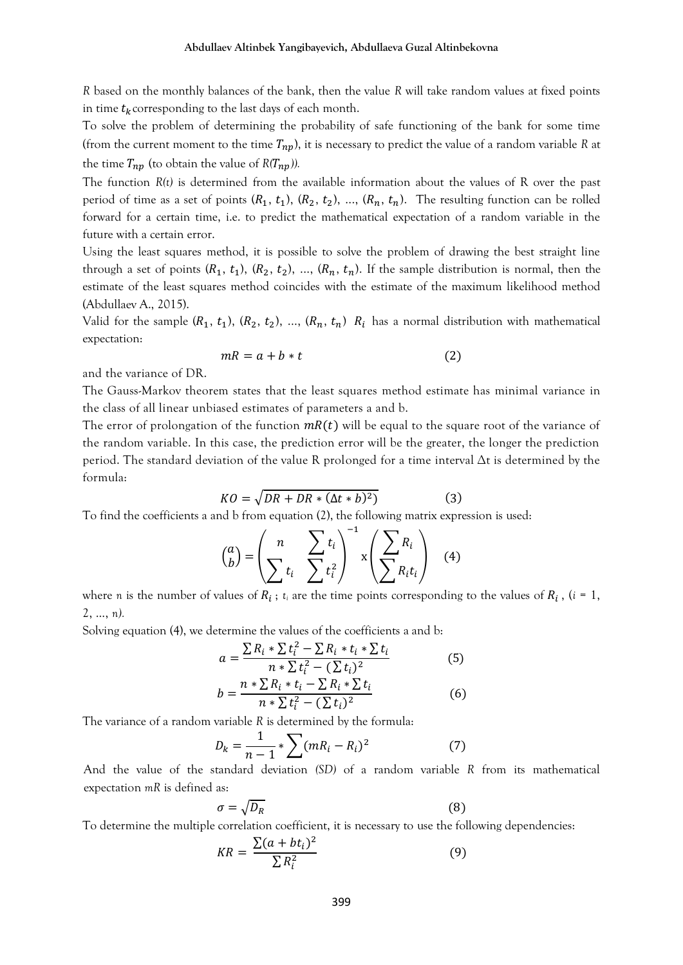*R* based on the monthly balances of the bank, then the value *R* will take random values at fixed points in time  $t_k$  corresponding to the last days of each month.

To solve the problem of determining the probability of safe functioning of the bank for some time (from the current moment to the time  $T_{nn}$ ), it is necessary to predict the value of a random variable *R* at the time  $T_{np}$  (to obtain the value of  $R(T_{np})$ ).

The function *R(t)* is determined from the available information about the values of R over the past period of time as a set of points  $(R_1, t_1)$ ,  $(R_2, t_2)$ , ...,  $(R_n, t_n)$ . The resulting function can be rolled forward for a certain time, i.e. to predict the mathematical expectation of a random variable in the future with a certain error.

Using the least squares method, it is possible to solve the problem of drawing the best straight line through a set of points  $(R_1, t_1)$ ,  $(R_2, t_2)$ , ...,  $(R_n, t_n)$ . If the sample distribution is normal, then the estimate of the least squares method coincides with the estimate of the maximum likelihood method (Abdullaev A., 2015).

Valid for the sample  $(R_1, t_1)$ ,  $(R_2, t_2)$ , ...,  $(R_n, t_n)$   $R_i$  has a normal distribution with mathematical expectation:

$$
mR = a + b * t \tag{2}
$$

and the variance of DR.

The Gauss-Markov theorem states that the least squares method estimate has minimal variance in the class of all linear unbiased estimates of parameters a and b.

The error of prolongation of the function  $mR(t)$  will be equal to the square root of the variance of the random variable. In this case, the prediction error will be the greater, the longer the prediction period. The standard deviation of the value R prolonged for a time interval ∆t is determined by the formula:

$$
KO = \sqrt{DR + DR * (\Delta t * b)^2)}
$$
 (3)

To find the coefficients a and b from equation (2), the following matrix expression is used:

$$
\binom{a}{b} = \left(\sum_{i}^{n} t_i \sum_{i}^{t_i}\right)^{-1} \times \left(\sum_{i}^{n} R_i \right) \tag{4}
$$

where *n* is the number of values of  $R_i$ ;  $t_i$  are the time points corresponding to the values of  $R_i$ , ( $i = 1$ , 2, …, *n).*

Solving equation (4), we determine the values of the coefficients a and b:

$$
a = \frac{\sum R_i * \sum t_i^2 - \sum R_i * t_i * \sum t_i}{n * \sum t_i^2 - (\sum t_i)^2}
$$
(5)

$$
b = \frac{n * \sum R_i * t_i - \sum R_i * \sum t_i}{n * \sum t_i^2 - (\sum t_i)^2}
$$
 (6)

The variance of a random variable *R* is determined by the formula:

$$
D_k = \frac{1}{n-1} * \sum (mR_i - R_i)^2
$$
 (7)

And the value of the standard deviation *(SD)* of a random variable *R* from its mathematical expectation *mR* is defined as:

$$
\sigma = \sqrt{D_R} \tag{8}
$$

To determine the multiple correlation coefficient, it is necessary to use the following dependencies:

$$
KR = \frac{\sum (a + bt_i)^2}{\sum R_i^2} \tag{9}
$$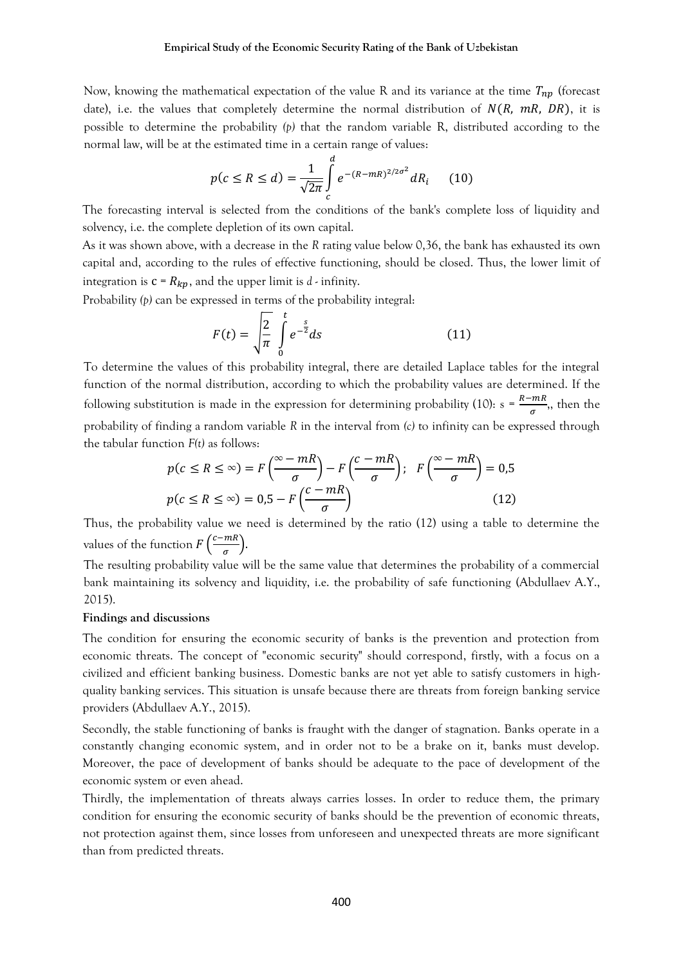Now, knowing the mathematical expectation of the value R and its variance at the time  $T_{np}$  (forecast date), i.e. the values that completely determine the normal distribution of  $N(R, mR, DR)$ , it is possible to determine the probability *(p)* that the random variable R, distributed according to the normal law, will be at the estimated time in a certain range of values:

$$
p(c \le R \le d) = \frac{1}{\sqrt{2\pi}} \int_{c}^{d} e^{-(R - mR)^{2/2\sigma^{2}}} dR_{i} \qquad (10)
$$

The forecasting interval is selected from the conditions of the bank's complete loss of liquidity and solvency, i.e. the complete depletion of its own capital.

As it was shown above, with a decrease in the *R* rating value below 0,36, the bank has exhausted its own capital and, according to the rules of effective functioning, should be closed. Thus, the lower limit of integration is  $c = R_{kp}$ , and the upper limit is *d* - infinity.

Probability *(p)* can be expressed in terms of the probability integral:

$$
F(t) = \sqrt{\frac{2}{\pi}} \int_{0}^{t} e^{-\frac{s}{2}} ds
$$
 (11)

To determine the values of this probability integral, there are detailed Laplace tables for the integral function of the normal distribution, according to which the probability values are determined. If the following substitution is made in the expression for determining probability (10):  $s = \frac{R-mR}{2}$  $\frac{m}{\sigma}$ , then the probability of finding a random variable *R* in the interval from *(c)* to infinity can be expressed through the tabular function *F(t)* as follows:

$$
p(c \le R \le \infty) = F\left(\frac{\infty - mR}{\sigma}\right) - F\left(\frac{c - mR}{\sigma}\right); \quad F\left(\frac{\infty - mR}{\sigma}\right) = 0.5
$$

$$
p(c \le R \le \infty) = 0.5 - F\left(\frac{c - mR}{\sigma}\right)
$$
(12)

Thus, the probability value we need is determined by the ratio (12) using a table to determine the values of the function  $F\left(\frac{c-mR}{\epsilon}\right)$  $\frac{mn}{\sigma}$ ).

The resulting probability value will be the same value that determines the probability of a commercial bank maintaining its solvency and liquidity, i.e. the probability of safe functioning (Abdullaev A.Y., 2015).

#### **Findings and discussions**

The condition for ensuring the economic security of banks is the prevention and protection from economic threats. The concept of "economic security" should correspond, firstly, with a focus on a civilized and efficient banking business. Domestic banks are not yet able to satisfy customers in highquality banking services. This situation is unsafe because there are threats from foreign banking service providers (Abdullaev A.Y., 2015).

Secondly, the stable functioning of banks is fraught with the danger of stagnation. Banks operate in a constantly changing economic system, and in order not to be a brake on it, banks must develop. Moreover, the pace of development of banks should be adequate to the pace of development of the economic system or even ahead.

Thirdly, the implementation of threats always carries losses. In order to reduce them, the primary condition for ensuring the economic security of banks should be the prevention of economic threats, not protection against them, since losses from unforeseen and unexpected threats are more significant than from predicted threats.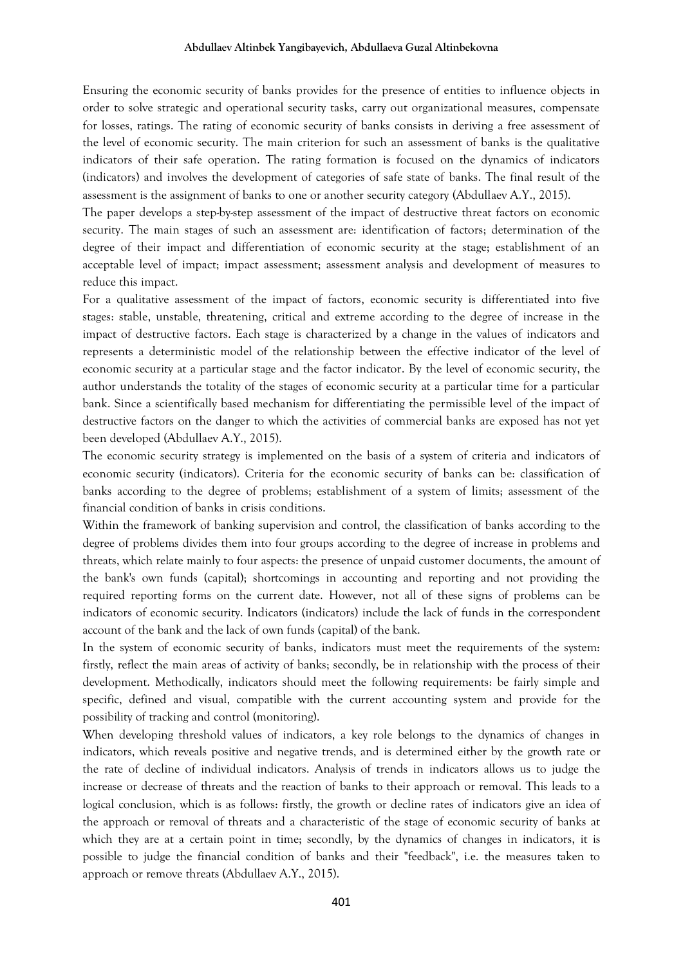Ensuring the economic security of banks provides for the presence of entities to influence objects in order to solve strategic and operational security tasks, carry out organizational measures, compensate for losses, ratings. The rating of economic security of banks consists in deriving a free assessment of the level of economic security. The main criterion for such an assessment of banks is the qualitative indicators of their safe operation. The rating formation is focused on the dynamics of indicators (indicators) and involves the development of categories of safe state of banks. The final result of the assessment is the assignment of banks to one or another security category (Abdullaev A.Y., 2015).

The paper develops a step-by-step assessment of the impact of destructive threat factors on economic security. The main stages of such an assessment are: identification of factors; determination of the degree of their impact and differentiation of economic security at the stage; establishment of an acceptable level of impact; impact assessment; assessment analysis and development of measures to reduce this impact.

For a qualitative assessment of the impact of factors, economic security is differentiated into five stages: stable, unstable, threatening, critical and extreme according to the degree of increase in the impact of destructive factors. Each stage is characterized by a change in the values of indicators and represents a deterministic model of the relationship between the effective indicator of the level of economic security at a particular stage and the factor indicator. By the level of economic security, the author understands the totality of the stages of economic security at a particular time for a particular bank. Since a scientifically based mechanism for differentiating the permissible level of the impact of destructive factors on the danger to which the activities of commercial banks are exposed has not yet been developed (Abdullaev A.Y., 2015).

The economic security strategy is implemented on the basis of a system of criteria and indicators of economic security (indicators). Criteria for the economic security of banks can be: classification of banks according to the degree of problems; establishment of a system of limits; assessment of the financial condition of banks in crisis conditions.

Within the framework of banking supervision and control, the classification of banks according to the degree of problems divides them into four groups according to the degree of increase in problems and threats, which relate mainly to four aspects: the presence of unpaid customer documents, the amount of the bank's own funds (capital); shortcomings in accounting and reporting and not providing the required reporting forms on the current date. However, not all of these signs of problems can be indicators of economic security. Indicators (indicators) include the lack of funds in the correspondent account of the bank and the lack of own funds (capital) of the bank.

In the system of economic security of banks, indicators must meet the requirements of the system: firstly, reflect the main areas of activity of banks; secondly, be in relationship with the process of their development. Methodically, indicators should meet the following requirements: be fairly simple and specific, defined and visual, compatible with the current accounting system and provide for the possibility of tracking and control (monitoring).

When developing threshold values of indicators, a key role belongs to the dynamics of changes in indicators, which reveals positive and negative trends, and is determined either by the growth rate or the rate of decline of individual indicators. Analysis of trends in indicators allows us to judge the increase or decrease of threats and the reaction of banks to their approach or removal. This leads to a logical conclusion, which is as follows: firstly, the growth or decline rates of indicators give an idea of the approach or removal of threats and a characteristic of the stage of economic security of banks at which they are at a certain point in time; secondly, by the dynamics of changes in indicators, it is possible to judge the financial condition of banks and their "feedback", i.e. the measures taken to approach or remove threats (Abdullaev A.Y., 2015).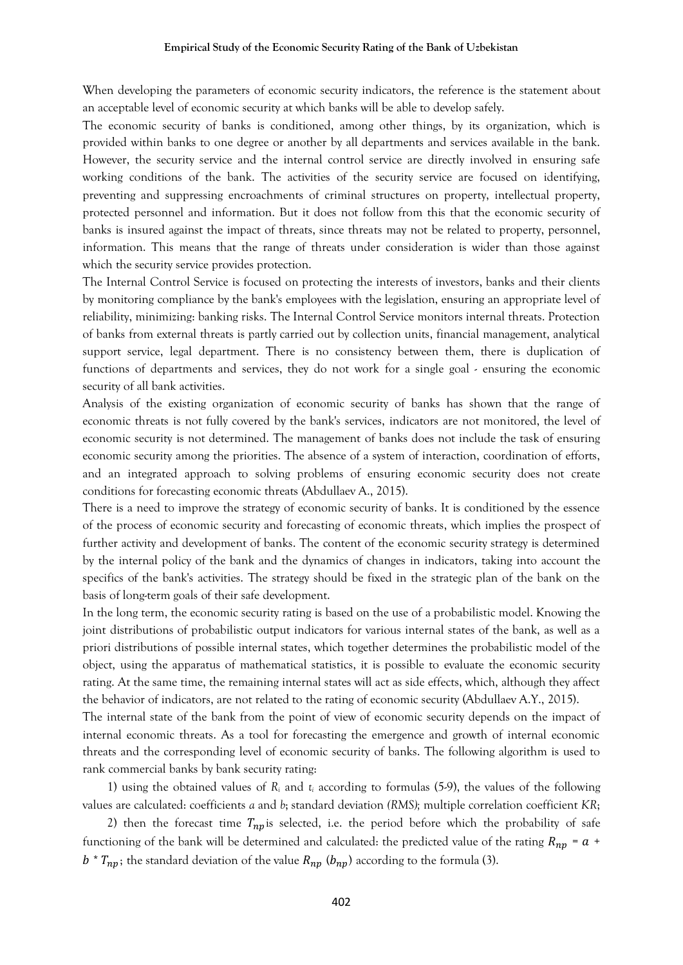When developing the parameters of economic security indicators, the reference is the statement about an acceptable level of economic security at which banks will be able to develop safely.

The economic security of banks is conditioned, among other things, by its organization, which is provided within banks to one degree or another by all departments and services available in the bank. However, the security service and the internal control service are directly involved in ensuring safe working conditions of the bank. The activities of the security service are focused on identifying, preventing and suppressing encroachments of criminal structures on property, intellectual property, protected personnel and information. But it does not follow from this that the economic security of banks is insured against the impact of threats, since threats may not be related to property, personnel, information. This means that the range of threats under consideration is wider than those against which the security service provides protection.

The Internal Control Service is focused on protecting the interests of investors, banks and their clients by monitoring compliance by the bank's employees with the legislation, ensuring an appropriate level of reliability, minimizing: banking risks. The Internal Control Service monitors internal threats. Protection of banks from external threats is partly carried out by collection units, financial management, analytical support service, legal department. There is no consistency between them, there is duplication of functions of departments and services, they do not work for a single goal - ensuring the economic security of all bank activities.

Analysis of the existing organization of economic security of banks has shown that the range of economic threats is not fully covered by the bank's services, indicators are not monitored, the level of economic security is not determined. The management of banks does not include the task of ensuring economic security among the priorities. The absence of a system of interaction, coordination of efforts, and an integrated approach to solving problems of ensuring economic security does not create conditions for forecasting economic threats (Abdullaev A., 2015).

There is a need to improve the strategy of economic security of banks. It is conditioned by the essence of the process of economic security and forecasting of economic threats, which implies the prospect of further activity and development of banks. The content of the economic security strategy is determined by the internal policy of the bank and the dynamics of changes in indicators, taking into account the specifics of the bank's activities. The strategy should be fixed in the strategic plan of the bank on the basis of long-term goals of their safe development.

In the long term, the economic security rating is based on the use of a probabilistic model. Knowing the joint distributions of probabilistic output indicators for various internal states of the bank, as well as a priori distributions of possible internal states, which together determines the probabilistic model of the object, using the apparatus of mathematical statistics, it is possible to evaluate the economic security rating. At the same time, the remaining internal states will act as side effects, which, although they affect the behavior of indicators, are not related to the rating of economic security (Abdullaev A.Y., 2015).

The internal state of the bank from the point of view of economic security depends on the impact of internal economic threats. As a tool for forecasting the emergence and growth of internal economic threats and the corresponding level of economic security of banks. The following algorithm is used to rank commercial banks by bank security rating:

1) using the obtained values of *R<sup>i</sup>* and *t<sup>i</sup>* according to formulas (5-9), the values of the following values are calculated: coefficients *a* and *b*; standard deviation *(RMS);* multiple correlation coefficient *KR*;

2) then the forecast time  $T_{np}$  is selected, i.e. the period before which the probability of safe functioning of the bank will be determined and calculated: the predicted value of the rating  $R_{np} = a +$  $b * T_{np}$ ; the standard deviation of the value  $R_{np}$  ( $b_{np}$ ) according to the formula (3).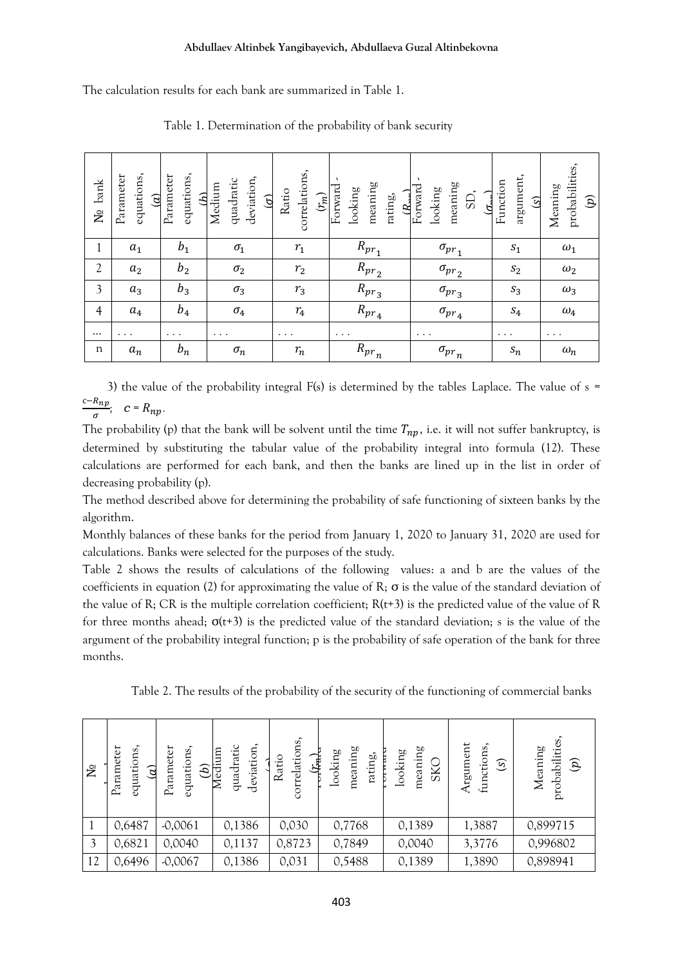The calculation results for each bank are summarized in Table 1.

| No bank        | equations,<br>Parameter<br>$\omega$ | equations,<br>Parameter<br>(h) | deviation,<br>quadratic<br>Medium<br>$\widehat{G}$ | correlations,<br>Ratio<br>$(r_m)$ | meaning<br>Forward<br>looking<br>rating,<br>$\mathcal{B}$ | meaning<br>Forward<br>looking<br>SD,<br><u>ίσ.</u> | argument,<br>Function<br>$\overline{S}$ | probabilities<br>Meaning<br>$\mathcal{G}$ |
|----------------|-------------------------------------|--------------------------------|----------------------------------------------------|-----------------------------------|-----------------------------------------------------------|----------------------------------------------------|-----------------------------------------|-------------------------------------------|
| 1              | a <sub>1</sub>                      | b <sub>1</sub>                 | $\sigma_1$                                         | $r_{1}$                           | $R_{pr_1}$                                                | $\sigma_{pr_1}$                                    | $S_1$                                   | $\omega_1$                                |
| $\overline{2}$ | a <sub>2</sub>                      | b <sub>2</sub>                 | $\sigma_2$                                         | $r_{\rm 2}$                       | $R_{pr_2}$                                                | $\sigma_{pr_2}$                                    | $S_2$                                   | $\omega_2$                                |
| 3              | $a_3$                               | $b_3$                          | $\sigma_3$                                         | $r_3$                             | $R_{pr_3}$                                                | $\sigma_{pr_3}$                                    | $S_3$                                   | $\omega_3$                                |
| $\overline{4}$ | $a_4$                               | $b_4$                          | $\sigma_4$                                         | $r_{\!4}$                         | $R_{pr_{\underline{4}}}$                                  | $\sigma_{pr_4}$                                    | $S_4$                                   | $\omega_4$                                |
| $\cdots$       | $\cdots$                            | $\cdots$                       | $\cdots$                                           | $\cdot$ $\cdot$ $\cdot$           | $\cdots$                                                  | $\cdots$                                           | $\cdots$                                | $\cdots$                                  |
| $\mathbf n$    | $a_n$                               | $b_n$                          | $\sigma_n$                                         | $r_n$                             | $R_{pr_{n}}$                                              | $\sigma_{pr_n}$                                    | $S_n$                                   | $\omega_n$                                |

Table 1. Determination of the probability of bank security

3) the value of the probability integral  $F(s)$  is determined by the tables Laplace. The value of  $s =$  $c-R_{np}$  $\frac{n_{np}}{\sigma}$ ;  $c = R_{np}$ .

The probability (p) that the bank will be solvent until the time  $T_{np}$ , i.e. it will not suffer bankruptcy, is determined by substituting the tabular value of the probability integral into formula (12). These calculations are performed for each bank, and then the banks are lined up in the list in order of decreasing probability (p).

The method described above for determining the probability of safe functioning of sixteen banks by the algorithm.

Monthly balances of these banks for the period from January 1, 2020 to January 31, 2020 are used for calculations. Banks were selected for the purposes of the study.

Table 2 shows the results of calculations of the following values: a and b are the values of the coefficients in equation (2) for approximating the value of R;  $\sigma$  is the value of the standard deviation of the value of R; CR is the multiple correlation coefficient;  $R(t+3)$  is the predicted value of the value of R for three months ahead;  $\sigma(t+3)$  is the predicted value of the standard deviation; s is the value of the argument of the probability integral function; p is the probability of safe operation of the bank for three months.

Table 2. The results of the probability of the security of the functioning of commercial banks

| $N_{\rm 0}$ | Parameter<br>equations<br>$\Omega$ | Parameter<br>equations,<br>$\frac{(b)}{\text{ledium}}$ | quadratic<br>deviation | correlations,<br>$(x_m)$<br>Ratio | meaning<br>looking<br>rating, | meaning<br>looking<br>SKO | Argument<br>functions,<br>$\odot$ | probabilities,<br>Meaning<br>$\mathcal{G}$ |
|-------------|------------------------------------|--------------------------------------------------------|------------------------|-----------------------------------|-------------------------------|---------------------------|-----------------------------------|--------------------------------------------|
|             | 0,6487                             | $-0,0061$                                              | 0,1386                 | 0,030                             | 0,7768                        | 0,1389                    | 1,3887                            | 0,899715                                   |
| 3           | 0,6821                             | 0,0040                                                 | 0,1137                 | 0,8723                            | 0,7849                        | 0,0040                    | 3,3776                            | 0,996802                                   |
| 12          | 0,6496                             | $-0,0067$                                              | 0,1386                 | 0,031                             | 0,5488                        | 0,1389                    | 1,3890                            | 0,898941                                   |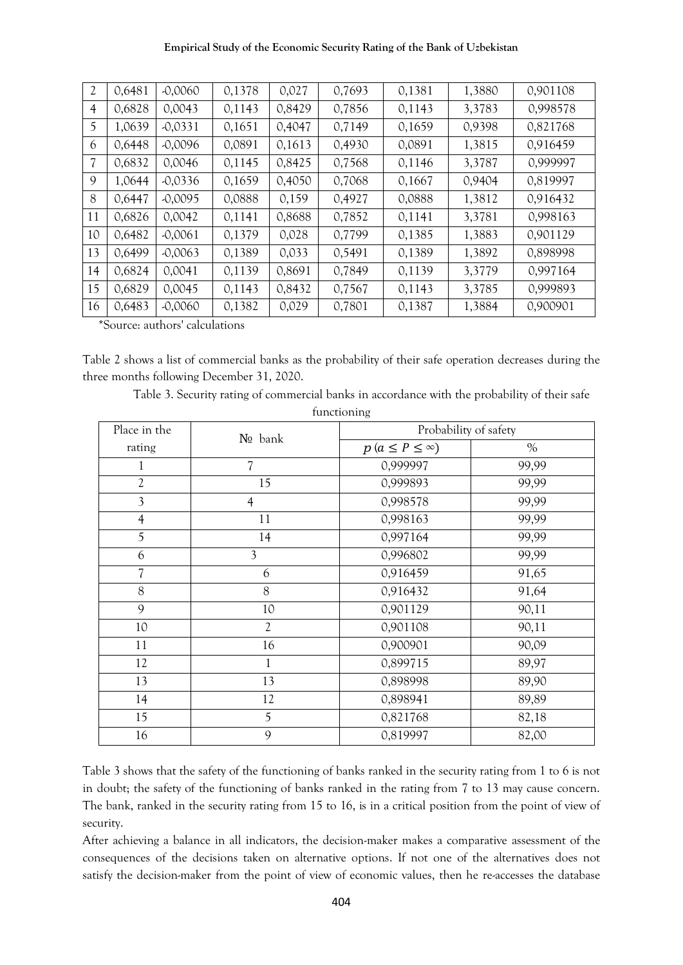| Empirical Study of the Economic Security Rating of the Bank of Uzbekistan |  |  |  |  |  |  |  |  |  |  |  |  |
|---------------------------------------------------------------------------|--|--|--|--|--|--|--|--|--|--|--|--|
|---------------------------------------------------------------------------|--|--|--|--|--|--|--|--|--|--|--|--|

| $\overline{2}$ | 0,6481 | $-0,0060$ | 0,1378 | 0,027  | 0,7693 | 0,1381 | 1,3880 | 0,901108 |
|----------------|--------|-----------|--------|--------|--------|--------|--------|----------|
| 4              | 0,6828 | 0,0043    | 0,1143 | 0,8429 | 0,7856 | 0,1143 | 3,3783 | 0,998578 |
| 5              | 1,0639 | $-0,0331$ | 0,1651 | 0,4047 | 0,7149 | 0,1659 | 0,9398 | 0,821768 |
| 6              | 0,6448 | $-0,0096$ | 0,0891 | 0,1613 | 0,4930 | 0,0891 | 1,3815 | 0,916459 |
| 7              | 0,6832 | 0,0046    | 0,1145 | 0,8425 | 0,7568 | 0,1146 | 3,3787 | 0,999997 |
| 9              | 1,0644 | $-0,0336$ | 0,1659 | 0,4050 | 0,7068 | 0,1667 | 0,9404 | 0,819997 |
| 8              | 0,6447 | $-0,0095$ | 0,0888 | 0,159  | 0,4927 | 0,0888 | 1,3812 | 0,916432 |
| 11             | 0,6826 | 0,0042    | 0,1141 | 0,8688 | 0,7852 | 0,1141 | 3,3781 | 0,998163 |
| 10             | 0,6482 | $-0,0061$ | 0,1379 | 0,028  | 0,7799 | 0,1385 | 1,3883 | 0,901129 |
| 13             | 0,6499 | $-0,0063$ | 0,1389 | 0,033  | 0,5491 | 0,1389 | 1,3892 | 0,898998 |
| 14             | 0,6824 | 0,0041    | 0,1139 | 0,8691 | 0,7849 | 0,1139 | 3,3779 | 0,997164 |
| 15             | 0,6829 | 0,0045    | 0,1143 | 0,8432 | 0,7567 | 0,1143 | 3,3785 | 0,999893 |
| 16             | 0,6483 | $-0,0060$ | 0,1382 | 0,029  | 0,7801 | 0,1387 | 1,3884 | 0,900901 |
|                |        |           |        |        |        |        |        |          |

\*Source: authors' calculations

Table 2 shows a list of commercial banks as the probability of their safe operation decreases during the three months following December 31, 2020.

|                          |                          | functioning               |       |  |  |
|--------------------------|--------------------------|---------------------------|-------|--|--|
| Place in the             | No bank                  | Probability of safety     |       |  |  |
| rating                   |                          | $p(a \leq P \leq \infty)$ | $\%$  |  |  |
| $\mathbf{1}$             | $\overline{\mathcal{L}}$ | 0,999997                  | 99,99 |  |  |
| $\overline{2}$           | 15                       | 0,999893                  | 99,99 |  |  |
| 3                        | $\overline{4}$           | 0,998578                  | 99,99 |  |  |
| $\overline{4}$           | 11                       | 0,998163                  | 99,99 |  |  |
| 5                        | 14                       | 0,997164                  | 99,99 |  |  |
| 6                        | 3                        | 0,996802                  | 99,99 |  |  |
| $\overline{\mathcal{U}}$ | 6                        | 0,916459                  | 91,65 |  |  |
| 8                        | 8                        | 0,916432                  | 91,64 |  |  |
| 9                        | 10                       | 0,901129                  | 90,11 |  |  |
| 10                       | $\overline{2}$           | 0,901108                  | 90,11 |  |  |
| 11                       | 16                       | 0,900901                  | 90,09 |  |  |
| 12                       | $\mathbf{1}$             | 0,899715                  | 89,97 |  |  |
| 13                       | 13                       | 0,898998                  | 89,90 |  |  |
| 14                       | 12                       | 0,898941                  | 89,89 |  |  |
| 15                       | 5                        | 0,821768                  | 82,18 |  |  |
| 16                       | 9                        | 0,819997                  | 82,00 |  |  |

Table 3. Security rating of commercial banks in accordance with the probability of their safe

Table 3 shows that the safety of the functioning of banks ranked in the security rating from 1 to 6 is not in doubt; the safety of the functioning of banks ranked in the rating from 7 to 13 may cause concern. The bank, ranked in the security rating from 15 to 16, is in a critical position from the point of view of security.

After achieving a balance in all indicators, the decision-maker makes a comparative assessment of the consequences of the decisions taken on alternative options. If not one of the alternatives does not satisfy the decision-maker from the point of view of economic values, then he re-accesses the database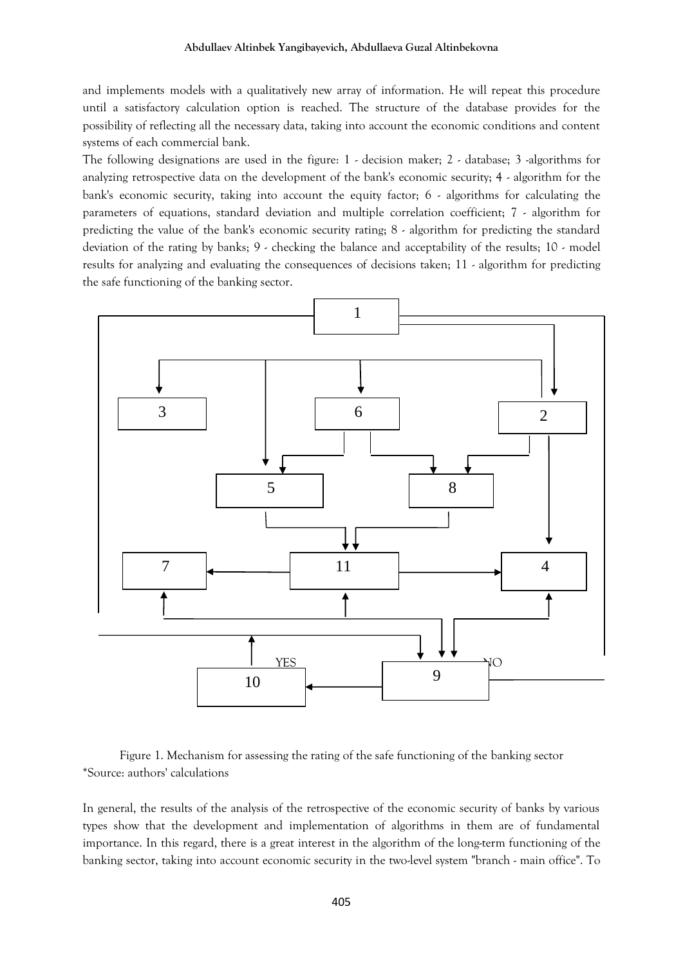and implements models with a qualitatively new array of information. He will repeat this procedure until a satisfactory calculation option is reached. The structure of the database provides for the possibility of reflecting all the necessary data, taking into account the economic conditions and content systems of each commercial bank.

The following designations are used in the figure: 1 - decision maker; 2 - database; 3 -algorithms for analyzing retrospective data on the development of the bank's economic security; 4 - algorithm for the bank's economic security, taking into account the equity factor; 6 - algorithms for calculating the parameters of equations, standard deviation and multiple correlation coefficient; 7 - algorithm for predicting the value of the bank's economic security rating; 8 - algorithm for predicting the standard deviation of the rating by banks; 9 - checking the balance and acceptability of the results; 10 - model results for analyzing and evaluating the consequences of decisions taken; 11 - algorithm for predicting the safe functioning of the banking sector.



Figure 1. Mechanism for assessing the rating of the safe functioning of the banking sector \*Source: authors' calculations

In general, the results of the analysis of the retrospective of the economic security of banks by various types show that the development and implementation of algorithms in them are of fundamental importance. In this regard, there is a great interest in the algorithm of the long-term functioning of the banking sector, taking into account economic security in the two-level system "branch - main office". To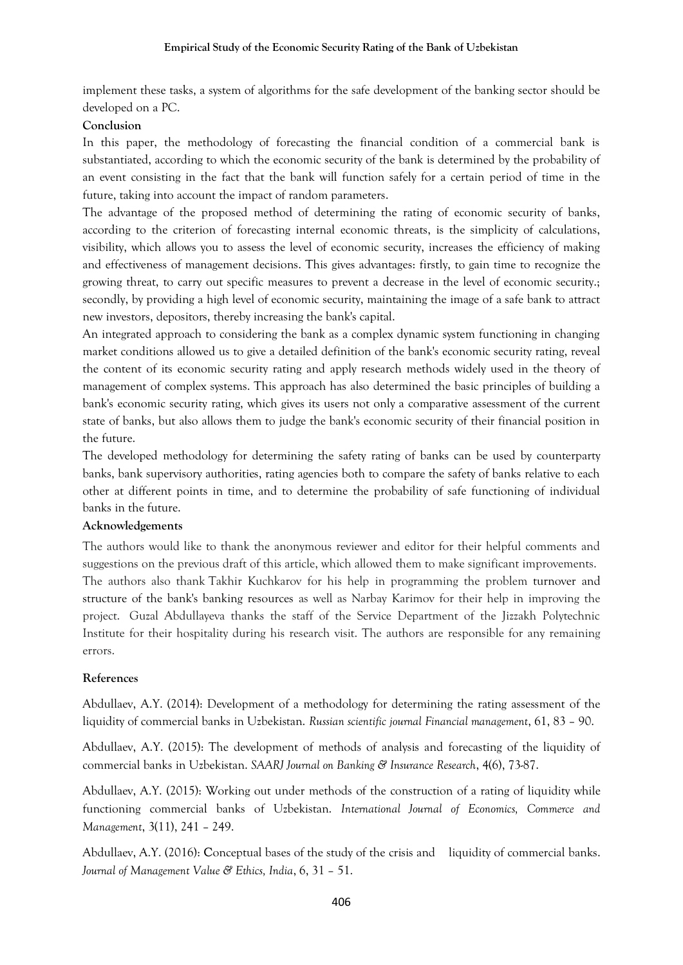implement these tasks, a system of algorithms for the safe development of the banking sector should be developed on a PC.

## **Conclusion**

In this paper, the methodology of forecasting the financial condition of a commercial bank is substantiated, according to which the economic security of the bank is determined by the probability of an event consisting in the fact that the bank will function safely for a certain period of time in the future, taking into account the impact of random parameters.

The advantage of the proposed method of determining the rating of economic security of banks, according to the criterion of forecasting internal economic threats, is the simplicity of calculations, visibility, which allows you to assess the level of economic security, increases the efficiency of making and effectiveness of management decisions. This gives advantages: firstly, to gain time to recognize the growing threat, to carry out specific measures to prevent a decrease in the level of economic security.; secondly, by providing a high level of economic security, maintaining the image of a safe bank to attract new investors, depositors, thereby increasing the bank's capital.

An integrated approach to considering the bank as a complex dynamic system functioning in changing market conditions allowed us to give a detailed definition of the bank's economic security rating, reveal the content of its economic security rating and apply research methods widely used in the theory of management of complex systems. This approach has also determined the basic principles of building a bank's economic security rating, which gives its users not only a comparative assessment of the current state of banks, but also allows them to judge the bank's economic security of their financial position in the future.

The developed methodology for determining the safety rating of banks can be used by counterparty banks, bank supervisory authorities, rating agencies both to compare the safety of banks relative to each other at different points in time, and to determine the probability of safe functioning of individual banks in the future.

## **Acknowledgements**

The authors would like to thank the anonymous reviewer and editor for their helpful comments and suggestions on the previous draft of this article, which allowed them to make significant improvements. The authors also thank Takhir Kuchkarov for his help in programming the problem turnover and structure of the bank's banking resources as well as Narbay Karimov for their help in improving the project. Guzal Abdullayeva thanks the staff of the Service Department of the Jizzakh Polytechnic Institute for their hospitality during his research visit. The authors are responsible for any remaining errors.

## **References**

Abdullaev, A.Y. (2014): Development of a methodology for determining the rating assessment of the liquidity of commercial banks in Uzbekistan. *Russian scientific journal Financial management*, 61, 83 – 90.

Abdullaev, A.Y. (2015): The development of methods of analysis and forecasting of the liquidity of commercial banks in Uzbekistan. *SAARJ Journal on Banking & Insurance Research*, 4(6), 73-87.

Abdullaev, A.Y. (2015): Working out under methods of the construction of a rating of liquidity while functioning commercial banks of Uzbekistan. *International Journal of Economics, Commerce and Management*, 3(11), 241 – 249.

Abdullaev, A.Y. (2016): Сonceptual bases of the study of the crisis and liquidity of commercial banks. *Journal of Management Value & Ethics, India*, 6, 31 – 51.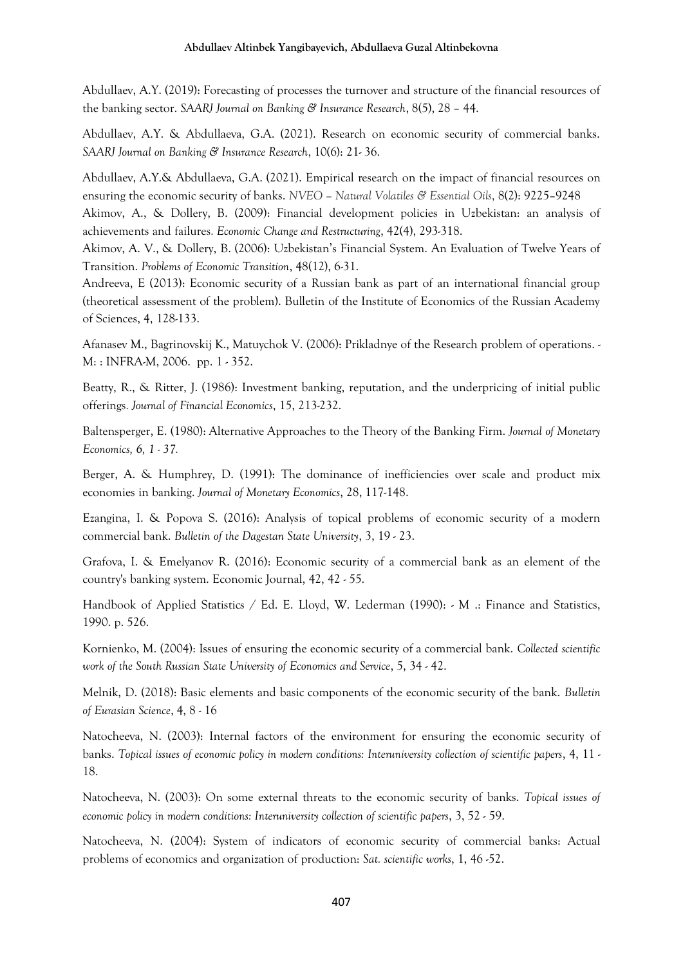Abdullaev, A.Y. (2019): Forecasting of processes the turnover and structure of the financial resources of the banking sector. *SAARJ Journal on Banking & Insurance Research*, 8(5), 28 – 44.

Abdullaev, A.Y. & Abdullaeva, G.A. (2021). Research on economic security of commercial banks. *SAARJ Journal on Banking & Insurance Research*, 10(6): 21- 36.

Abdullaev, A.Y.& Abdullaeva, G.A. (2021). Empirical research on the impact of financial resources on ensuring the economic security of banks. *NVEO – Natural Volatiles & Essential Oils*, 8(2): 9225–9248

Akimov, A., & Dollery, B. (2009): Financial development policies in Uzbekistan: an analysis of achievements and failures*. Economic Change and Restructuring*, 42(4), 293-318.

Akimov, A. V., & Dollery, B. (2006): Uzbekistan's Financial System. An Evaluation of Twelve Years of Transition. *Problems of Economic Transition*, 48(12), 6-31.

Andreeva, E (2013): Economic security of a Russian bank as part of an international financial group (theoretical assessment of the problem). Bulletin of the Institute of Economics of the Russian Academy of Sciences, 4, 128-133.

Afanasev M., Bagrinovskij K., Matuychok V. (2006): Prikladnye of the Research problem of operations. - M: : INFRA-M, 2006. pp. 1 - 352.

Beatty, R., & Ritter, J. (1986): Investment banking, reputation, and the underpricing of initial public offerings*. Journal of Financial Economics*, 15, 213-232.

Baltensperger, E. (1980): Alternative Approaches to the Theory of the Banking Firm. *Journal of Monetary Economics, 6, 1 - 37.*

Berger, A. & Humphrey, D. (1991): The dominance of inefficiencies over scale and product mix economies in banking. *Journal of Monetary Economics*, 28, 117-148.

Ezangina, I. & Popova S. (2016): Analysis of topical problems of economic security of a modern commercial bank. *Bulletin of the Dagestan State University*, 3, 19 - 23.

Grafova, I. & Emelyanov R. (2016): Economic security of a commercial bank as an element of the country's banking system. Economic Journal, 42, 42 - 55.

Handbook of Applied Statistics / Ed. E. Lloyd, W. Lederman (1990): - M .: Finance and Statistics, 1990. p. 526.

Kornienko, M. (2004): Issues of ensuring the economic security of a commercial bank. *Collected scientific work of the South Russian State University of Economics and Service*, 5, 34 - 42.

Melnik, D. (2018): Basic elements and basic components of the economic security of the bank. *Bulletin of Eurasian Science*, 4, 8 - 16

Natocheeva, N. (2003): Internal factors of the environment for ensuring the economic security of banks. *Topical issues of economic policy in modern conditions: Interuniversity collection of scientific papers*, 4, 11 - 18.

Natocheeva, N. (2003): On some external threats to the economic security of banks. *Topical issues of economic policy in modern conditions: Interuniversity collection of scientific papers*, 3, 52 - 59.

Natocheeva, N. (2004): System of indicators of economic security of commercial banks: Actual problems of economics and organization of production: *Sat. scientific works*, 1, 46 -52.